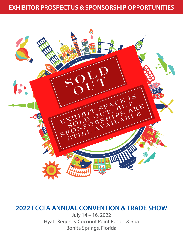

# **2022 FCCFA ANNUAL CONVENTION & TRADE SHOW**

July 14 – 16, 2022 Hyatt Regency Coconut Point Resort & Spa Bonita Springs, Florida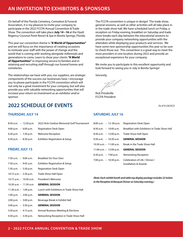## **AN INVITATION TO EXHIBITORS & SPONSORS**

On behalf of the Florida Cemetery, Cremation & Funeral Association, it is my pleasure to invite your company to participate in the 2022 FCCFA Annual Convention & Trade Show. The convention will take place **July 14 –16** at the Hyatt Regency Coconut Point Resort & Spa in Bonita Springs, Florida.

This year our convention theme is **"A World of Opportunities"**  and we will focus on the importance of creating occasions to motivate your staff with the power of change and the world that is coming with working alongside millennials and generations to come. Learn to show your clients **"A World of Opportunities"** in improving service to families and in retaining and recruiting staff through our funeral homes and cemeteries.

The relationships we have with you, our suppliers, are strategic components of the success our businesses have. I encourage you to please participate in the FCCFA convention which will not only be a great investment for your company, but will also provide you with valuable networking opportunities that will increase your return on investment as an exhibitor and/or sponsor.

## **2022 SCHEDULE OF EVENTS** (As of 01/28/2022)

### **THURSDAY, JULY 14**

| $8:30$ a.m. $-12:30$ p.m. | 2022 Vicki Uselton Memorial Golf Tournament |
|---------------------------|---------------------------------------------|
| 4:00 p.m. $-6:00$ p.m.    | <b>Registration Desk Open</b>               |
| 6:30 p.m. $-7:30$ p.m.    | Welcome Reception                           |
| 6:30 p.m. $-8:30$ p.m.    | Exhibitor Registration & Setup              |

### **FRIDAY, JULY 15**

7:30 a.m. – 9:00 a.m. Breakfast On Your Own 7:30 a.m. – 9:45 a.m. Exhibitor Registration & Setup 7:30 a.m. – 5:30 p.m. Registration Desk Open 10:15 a.m. – 5:30 p.m. Trade Show Hall Open 10:15 a.m. – 10:30 a.m. President's Welcome 10:30 a.m. – 11:30 a.m. **GENERAL SESSION** 11:30 a.m. – 1:00 p.m. Lunch with Exhibitors in Trade Show Hall 1:00 p.m. – 2:00 p.m. **GENERAL SESSION** 2:00 p.m. – 3:00 p.m. Beverage Break in Exhibit Hall 3:00 p.m. – 3:30 p.m. **GENERAL SESSION** 3:30 p.m. – 4:15 p.m. Annual Business Meeting & Elections 4:30 p.m. – 5:30 p.m. Networking Reception in Trade Show Hall

The FCCFA convention is unique in design! The trade show, general sessions, as well as other activities will all take place in in the trade show hall. We have scheduled lunch on Friday, a reception on Friday evening, breakfast on Saturday and trade show breaks each day between the educational sessions to provide your company networking opportunities with the attendees while displaying your products and services. We have some new sponsorship opportunities this year so be sure to check those out. This convention is a great way to meet the most providers in one location during 2022 and provide an exceptional experience for your company.

We invite you to participate in this excellent opportunity and look forward to seeing you in July in Bonita Springs!

Sincerely,

TW

Rick Prindiville FCCFA President

#### **SATURDAY, JULY 16**

| 8:00 a.m. – 12:00 p.m. Registration Desk Open |                                                         |
|-----------------------------------------------|---------------------------------------------------------|
| 8:30 a.m. – 10:00 a.m.                        | Breakfast with Exhibitors in Trade Show Hall            |
| 8:30 a.m. – 12:00 p.m. Trade Show Hall Open   |                                                         |
| 9:30 a.m. – 10:30 a.m. <b>GENERAL SESSION</b> |                                                         |
| 10:30 a.m. - 11:00 a.m.                       | Break in the Trade Show Hall                            |
| 11:00 a.m. - 12:00 p.m.                       | <b>GENERAL SESSION</b>                                  |
| 6:30 p.m. – 7:00 p.m.                         | Networking Reception                                    |
| 7:00 p.m. – 10:30 p.m.                        | Celebration of Life / Dinner /<br>Installation & Awards |

*(Note: Each exhibit booth and table top display package includes (2) tickets to the Reception & Banquet Dinner on Saturday evening.)*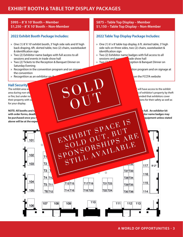## **EXHIBIT BOOTH & TABLE TOP DISPLAY PACKAGES**

### **\$995 – 8' X 10' Booth – Member \$1,250 – 8' X 10' Booth – Non-Member**

### **2022 Exhibit Booth Package Includes:**

#### » One (1) 8' X 10' exhibit booth, 3' high side rails and 8' high back draping, 6ft. skirted table, two (2) chairs, wastebasket & identification sign

- » Two (2) Exhibitor name badges with full access to all sessions and events in trade show hall
- » Two (2) Tickets to the Reception & Banquet Dinner on Saturday Evening
- » Recognition in the convention program and on signal the convention
- » Recognition as an exhibitor on  $t$

#### **Hall Security**

for your display.

**NOTE: All booths and table top displays with the assigned on a first-come, first-come, first-come, first-served basis upon receipt of payment in full. An exhibitor kit** with order forms, deadlines and additional information will be exhibited to each confirmed exhibitor. Additional exhibitor name badges may **be purchased once you receive you and information and information and information and information and information and information and information. All shipping, and equipment unless stated**  $\sim$ above will be at the expe



### **2022 Table Top Display Package Includes:**

- » One (1) 6' x 8' table top display, 6 ft. skirted table, 3' high side rails on three sides, two (2) chairs, wastebasket & identification sign
- » Two (2) Exhibitor name badges with full access to all sessions and events in trade show hall
- » Two (2) Timets to the Reception & Banquet Dinner on

Saturday Evening

the convertion

tion program and on signage at

on the FCCFA website

The exhibit area will be locked at the protection of the protection of the protection of the exhibits. Only authorized personnel will have access to the exhibit area during non-show hours. The holy take all reasonable precautions to avoid the loss of exhibitor's property by theft or fire, but under no circumstances shall the hotel management or FCFA behall the hotel management or such losses. It is recommended that exhibitors cover their property with suitable insurance. Children are allowed in the exhibit are allowed in the exhibit are allowed in the necessary precautions for their safety as well as

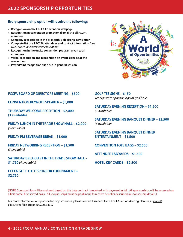## **2022 SPONSORSHIP OPPORTUNITIES**

### **Every sponsorship option will receive the following:**

- » **Recognition on the FCCFA Convention webpage**
- » **Recognition in convention promotional emails to all FCCFA members**
- » **Company recognition in the bi-monthly electronic newsletter**
- » **Complete list of all FCCFA attendees and contact information** *(one week prior & one week after convention)*
- » **Recognition in the onsite convention program given to all attendees**
- » **Verbal recognition and recognition on event signage at the convention**
- » **PowerPoint recognition slide run in general session**



### **FCCFA BOARD OF DIRECTORS MEETING – \$500**

**CONVENTION KEYNOTE SPEAKER – \$5,000**

**THURSDAY WELCOME RECEPTION – \$2,000 (3 available)**

**FRIDAY LUNCH IN THE TRADE SHOW HALL – \$2,000**  *(5 available)*

**FRIDAY PM BEVERAGE BREAK – \$1,000**

**FRIDAY NETWORKING RECEPTION – \$1,500**  *(3 available)*

**SATURDAY BREAKFAST IN THE TRADE SHOW HALL – \$1,750** *(4 available)*

**FCCFA GOLF TITLE SPONSOR TOURNAMENT – \$2,750**

**GOLF TEE SIGNS – \$150** *Tee sign with sponsor logo at golf hole*

**SATURDAY EVENING RECEPTION – \$1,500**  *(3 available)*

**SATURDAY EVENING BANQUET DINNER – \$2,500**  *(6 available)*

**SATURDAY EVENING BANQUET DINNER ENTERTAINMENT – \$1,500**

**CONVENTION TOTE BAGS – \$2,500**

**ATTENDEE LANYARDS – \$1,500**

**HOTEL KEY CARDS – \$2,500**

(NOTE: Sponsorships will be assigned based on the date contract is received with payment in full. All sponsorships will be reserved on a first-come, first-served basis. All sponsorships must be paid in full to receive benefits described in sponsorship details.)

For more information on sponsorship opportunities, please contact Elizabeth Lane, FCCFA Senior Meeting Planner, at elane@ executiveoffice.org or 800.226.3332.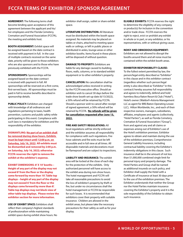**AGREEMENT:** The following terms shall become binding upon acceptance of this agreement between the applicant and his/ her employees and the Florida Cemetery, Cremation and Funeral Association (FCCFA), the meeting and exhibits host.

**BOOTH ASSIGNMENT:** Exhibit space will be assigned based on the date contract is received with payment in full. In the case of multiple contracts received on the same date, priority will be given to those exhibitors who are also sponsors and to those who have previously exhibited with the FCCFA.

**SPONSORSHIPS:** Sponsorships will be assigned based on the date contract is received with payment in full. All sponsorships will be reserved on a first-come, first-served basis. All sponsorships must be paid in full to receive benefits described in sponsorship details.

PUBLIC POLICY: Exhibitors are charged with knowledge of all ordinances and regulations pertaining to taxes, health prevention, customs and public safety while participating in this event. Compliance with such laws is mandatory for exhibitors and the responsibility of the exhibitor.

**DISMANTLING: No part of an exhibit shall be removed during show hours. Exhibits must be kept intact until 12:00 p.m. on Saturday, July 16, 2022. All exhibits must be dismantled and removed by 2:00 p.m. on Saturday, July 16, 2022; otherwise FCCFA reserves the right to remove the exhibit at the exhibitor's expense.**

**EXHIBIT DIMENSIONS: 8' X 10' booths – Height of any part of the display may not exceed 8' from the floor or the display come forward by more than 10'. Table top displays – height of any part of the display may not exceed 6' from the floor or the displays come forward by more than 8'. Table top displays may not block view of other table top displays. Please review the exhibitor section for more information.**

**USE OF EXHIBIT SPACE:** Exhibitors shall reflect their company's highest standards of professionalism while maintaining exhibit space during exhibit show hours. No exhibitor shall assign, sublet or share exhibit space.

**LITERATURE DISTRIBUTION:** All literature must be distributed within the booth space assigned. No materials may be placed on tables or chairs, attached to meeting space walls or ceilings, or left in public places or distributed in aisles, lounge areas or other exhibitor booths. Items found in these places will be disposed of without question.

**DAMAGE TO PROPERTY: Exhibitors are** liable for any damage caused to building, floors, walls, columns, or to standard exhibit equipment or to other exhibitor's property.

**CANCELLATION:** No cancellation shall be acknowledged unless received in writing by the FCCFA executive office. Should an exhibitor wish to cancel 30 days before the trade show booth set-up date (6/13/2022), a 50% refund will be retained by FCCFA. Should a sponsor wish to cancel after receipt of signed agreement, a 50% refund will be retained by FCCFA. **No refunds will be given for cancellation requested after June 13, 2022.**

**FIRE AND SAFETY REGULATIONS:** All local regulations will be strictly enforced and the exhibitor assumes all responsibility for compliance with such regulations. Fire hose cabinets and fire exits must be left accessible and in full view at all times. All disposable materials and decorations must be flameproof and are subject to inspections.

**LIABILITY AND INSURANCE:** The exhibit area will be locked at the close of each day for the protection of the exhibits. Only authorized personnel will have access to the exhibit area during non-show hours. The hotel management and FCCFA will take all reasonable precautions to avoid the loss of exhibitor's property by theft or fire, but under no circumstances shall the hotel management or FCCFA be responsible for such losses. It is recommended that exhibitors cover their property with suitable insurance. Children are allowed in the exhibit areas, but please take the necessary precautions for their safety as well as for your display.

**ELIGIBLE EXHIBITS:** FCCFA reserves the right to determine the eligibility of any company or product(s) for inclusion in the convention and/or trade show. FCCFA reserves the right to reject, evict or prohibit any exhibit in whole or in part, or any exhibitor, or his representatives, with or without giving cause.

#### **NOISY AND OBNOXIOUS EQUIPMENT:**

Exhibitors are not allowed to disrupt the booths around them and all noise must be contained within the exhibit booth areas.

#### **EXHIBITOR RESPONSIBILITY CLAUSE:**

To the fullest extent permitted by law, the person/legal entity described as "Exhibitor" in this clause and in this exhibitor contract (regardless whether such person/legal entity is also described as "Exhibitor" in this contract) hereby assumes full responsibility and agrees to indemnify, defend and hold harmless Boca Raton Resort & Club ("Hotel"), Hotel's owner (Waldorf=Astoria Management LLC as agent for BRE/Baton Operating Lessee LLC), Hilton Worldwide, Inc., and each of their respective owners, managers, subsidiaries, affiliates, employees and agents (collectively, "Hotel Parties"), as well as Florida Cemetery, Cremation & Funeral Association ("Group"), from and against any and all claims or expenses arising out of Exhibitor's use of the Hotel's exhibition premises. Exhibitor agrees to obtain and maintain during the use of the exhibition premises, Comprehensive General Liability Insurance, including contractual liability covering the Exhibitor's indemnity obligations in this clause. Such insurance shall be in the amount of not less than \$1,000,000 combined single limit for personal injury and property damage. The Hotel Parties and Group shall be named as additional insureds on such policy, and Exhibitor shall supply the Hotel with a Certificate of Insurance at least 30 days prior to the use of the exhibition premises. The Exhibitor understands that neither the Group nor the Hotel Parties maintain insurance covering the Exhibitor's property and it is the sole responsibility of the Exhibitor to obtain such insurance.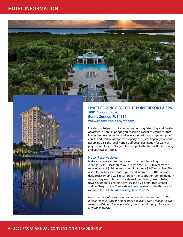



### **HYATT REGENCY COCONUT POINT RESORT & SPA 5001 Coconut Road Bonita Springs, FL 34134 www.coconutpoint.hyatt.com**

Located on 26 lush, tropical acres overlooking Estero Bay and the Gulf of Mexico in Bonita Springs, you will find a casual environment that invites limitless recreation and relaxation. With a championship golf course and world class spa on property, the Hyatt Regency Coconut Resort & Spa is the ideal Florida Gulf Coast destination for work or play. Set out for an unforgettable escape to the best of Bonita Springs and Southwest Florida.

#### **Hotel Reservations:**

Make your reservations directly with the Hyatt by calling **239.444.1234**. Please state you are with the FCCFA to receive the reduced rate of \$194 per room per night plus a \$5.00 resort fee. The resort fee includes: in-room high speed internet, 2 bottles of water daily, rock climbing wall, resort trolley transportation, complimentary self-parking, resort ferry to private secluded island, beach chairs, towels & umbrellas, resort activities and a 24-hour fitness center and golf bag storage. The Hyatt will only be able to offer this rate for rooms to the **FCCFA until Tuesday, June 21, 2022**.

*Note: The association can only reserve a certain number rooms at the discounted rate. Once the room block is sold out, even if that day is prior to the cutoff date, a higher prevailing room rate will apply. Make your reservations today!*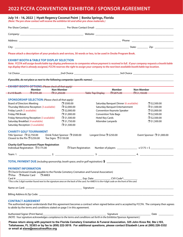## **2022 FCCFA CONVENTION EXHIBITOR / SPONSOR AGREEMENT**

#### **July 14 – 16, 2022 | Hyatt Regency Coconut Point | Bonita Springs, Florida**

*(Note: The pre-show contact will receive the exhibitor kit and other pre-show materials.)*

|                                                                                                                                                                                                                                                                                                                                                        | Please attach a description of your products and services, 50 words or less, to be used in Onsite Program Book.                                                                                      |                                                                                                                                                                                                                     |                                                                  |                                                                                                                                      |                          |                                                                                                                                                                         |
|--------------------------------------------------------------------------------------------------------------------------------------------------------------------------------------------------------------------------------------------------------------------------------------------------------------------------------------------------------|------------------------------------------------------------------------------------------------------------------------------------------------------------------------------------------------------|---------------------------------------------------------------------------------------------------------------------------------------------------------------------------------------------------------------------|------------------------------------------------------------------|--------------------------------------------------------------------------------------------------------------------------------------|--------------------------|-------------------------------------------------------------------------------------------------------------------------------------------------------------------------|
|                                                                                                                                                                                                                                                                                                                                                        | <b>EXHIBIT BOOTH &amp; TABLE TOP DISPLAY SELECTION</b><br>top display that is already assigned, FCCFA reserves the right to assign your company to the next best available booth/table top location. |                                                                                                                                                                                                                     |                                                                  |                                                                                                                                      |                          | Note: FCCFA will assign booth/table top display preferences to companies whose payment is received in full. If your company requests a booth/table                      |
|                                                                                                                                                                                                                                                                                                                                                        |                                                                                                                                                                                                      |                                                                                                                                                                                                                     |                                                                  |                                                                                                                                      |                          |                                                                                                                                                                         |
|                                                                                                                                                                                                                                                                                                                                                        |                                                                                                                                                                                                      |                                                                                                                                                                                                                     |                                                                  |                                                                                                                                      |                          |                                                                                                                                                                         |
|                                                                                                                                                                                                                                                                                                                                                        | <b>EXHIBIT BOOTH OPTIONS (Please check all that apply)</b>                                                                                                                                           |                                                                                                                                                                                                                     |                                                                  |                                                                                                                                      |                          |                                                                                                                                                                         |
|                                                                                                                                                                                                                                                                                                                                                        | Member                                                                                                                                                                                               | Non-Member                                                                                                                                                                                                          |                                                                  | Member                                                                                                                               | Non-Member               |                                                                                                                                                                         |
|                                                                                                                                                                                                                                                                                                                                                        | $-8 \times 10$ Booth $ -$ 5 \$995.00 $ -$ 5 \$1,250.00                                                                                                                                               |                                                                                                                                                                                                                     |                                                                  | Table Top Display 19975.00                                                                                                           | <del>EJ \$1,150.00</del> |                                                                                                                                                                         |
| <b>Board of Directors Meeting</b><br>Friday Lunch (5 available)<br>Friday PM Break<br>Friday Networking Reception (3 available)<br>Saturday Breakfast (4 available)<br>Saturday Reception (3 available)<br><b>CHARITY GOLF TOURNAMENT</b><br>Title Sponsor □ \$2,750.00<br>Closest to the Pin $\square$ \$250.00<br>Individual Registration □ \$175.00 | <b>SPONSORSHIP SELECTION</b> (Please check all that apply)<br>Thursday Welcome Reception (3 available)<br>Tee Signs □ \$150.00<br><b>Charity Golf Tournament Player Registration</b>                 | $\square$ \$500.00<br>$\Box$ \$2,000.00<br>$\Box$ \$2,000.00<br>$\Box$ \$1,000.00<br>$\square$ \$1,500.00<br>$\square$ \$1,750.00<br>$\square$ \$1,500.00<br>Drink Ticket Sponsor □ \$500.00<br>□ Team Registration | Hotel Key Cards<br>Attendee Lanyards<br>Longest Drive □ \$250.00 | Saturday Banquet Dinner (6 available)<br>Saturday Banquet Entertainment<br>Convention Keynote Speaker<br><b>Convention Tote Bags</b> |                          | $\square$ \$2,500.00<br>$\square$ \$1,500.00<br>$\Box$ \$5,000.00<br>$\square$ \$2,500.00<br>$\square$ \$2,500.00<br>$\square$ \$1,500.00<br>Event Sponsor □ \$1,000.00 |
|                                                                                                                                                                                                                                                                                                                                                        |                                                                                                                                                                                                      |                                                                                                                                                                                                                     |                                                                  |                                                                                                                                      |                          |                                                                                                                                                                         |
| <b>PAYMENT INFORMATION</b><br>□ Visa □ Master Card □ AMEX                                                                                                                                                                                                                                                                                              | <b>TOTAL PAYMENT DUE</b> (including sponsorship, booth space, and/or golf registration): \$<br>□ Check Enclosed (made payable to the Florida Cemetery Cremation and Funeral Association)             |                                                                                                                                                                                                                     |                                                                  |                                                                                                                                      |                          |                                                                                                                                                                         |
|                                                                                                                                                                                                                                                                                                                                                        |                                                                                                                                                                                                      |                                                                                                                                                                                                                     |                                                                  |                                                                                                                                      |                          |                                                                                                                                                                         |
|                                                                                                                                                                                                                                                                                                                                                        |                                                                                                                                                                                                      |                                                                                                                                                                                                                     |                                                                  |                                                                                                                                      |                          |                                                                                                                                                                         |
| <b>CONTRACT AGREEMENT</b>                                                                                                                                                                                                                                                                                                                              | to abide by the terms and conditions stated on page 5 in this agreement.                                                                                                                             |                                                                                                                                                                                                                     |                                                                  |                                                                                                                                      |                          | The authorized signer understands that this agreement becomes a contract when signed below and is accepted by FCCFA. The company then agrees                            |
|                                                                                                                                                                                                                                                                                                                                                        |                                                                                                                                                                                                      |                                                                                                                                                                                                                     |                                                                  |                                                                                                                                      |                          | <b>Date</b>                                                                                                                                                             |

*(NOTE: Your signature acknowledges compliance to the terms and conditions set forth in the Exhibitor/Sponsor Agreement.)*

**Please return along with payment to the Florida Cemetery Cremation & Funeral Association, 325 John Knox Rd, Ste L103, Tallahassee, FL 32303 or by fax to (850) 222-3019. For additional questions, please contact Elizabeth Lane at (800) 226-3332 or email at elane@executiveoffice.org**